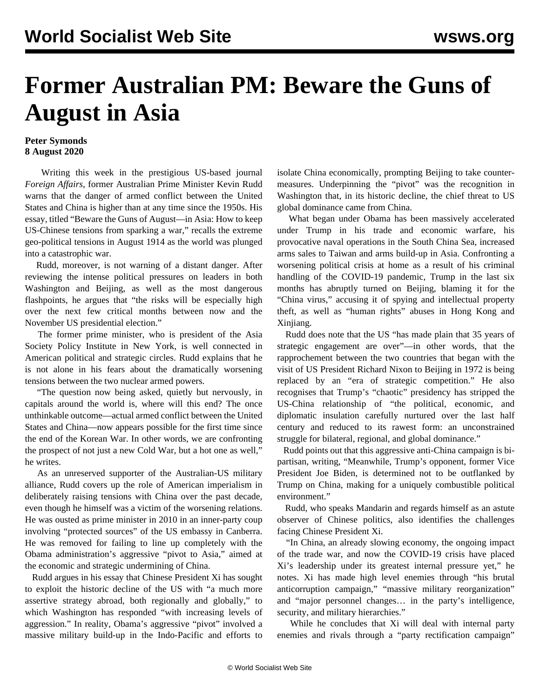## **Former Australian PM: Beware the Guns of August in Asia**

## **Peter Symonds 8 August 2020**

 Writing this week in the prestigious US-based journal *Foreign Affairs*, former Australian Prime Minister Kevin Rudd warns that the danger of armed conflict between the United States and China is higher than at any time since the 1950s. His essay, titled "Beware the Guns of August—in Asia: How to keep US-Chinese tensions from sparking a war," recalls the extreme geo-political tensions in August 1914 as the world was plunged into a catastrophic war.

 Rudd, moreover, is not warning of a distant danger. After reviewing the intense political pressures on leaders in both Washington and Beijing, as well as the most dangerous flashpoints, he argues that "the risks will be especially high over the next few critical months between now and the November US presidential election."

 The former prime minister, who is president of the Asia Society Policy Institute in New York, is well connected in American political and strategic circles. Rudd explains that he is not alone in his fears about the dramatically worsening tensions between the two nuclear armed powers.

 "The question now being asked, quietly but nervously, in capitals around the world is, where will this end? The once unthinkable outcome—actual armed conflict between the United States and China—now appears possible for the first time since the end of the Korean War. In other words, we are confronting the prospect of not just a new Cold War, but a hot one as well," he writes.

 As an unreserved supporter of the Australian-US military alliance, Rudd covers up the role of American imperialism in deliberately raising tensions with China over the past decade, even though he himself was a victim of the worsening relations. He was ousted as prime minister in 2010 in an inner-party coup involving "protected sources" of the US embassy in Canberra. He was removed for failing to line up completely with the Obama administration's aggressive "pivot to Asia," aimed at the economic and strategic undermining of China.

 Rudd argues in his essay that Chinese President Xi has sought to exploit the historic decline of the US with "a much more assertive strategy abroad, both regionally and globally," to which Washington has responded "with increasing levels of aggression." In reality, Obama's aggressive "pivot" involved a massive military build-up in the Indo-Pacific and efforts to isolate China economically, prompting Beijing to take countermeasures. Underpinning the "pivot" was the recognition in Washington that, in its historic decline, the chief threat to US global dominance came from China.

 What began under Obama has been massively accelerated under Trump in his trade and economic warfare, his provocative naval operations in the South China Sea, increased arms sales to Taiwan and arms build-up in Asia. Confronting a worsening political crisis at home as a result of his criminal handling of the COVID-19 pandemic, Trump in the last six months has abruptly turned on Beijing, blaming it for the "China virus," accusing it of spying and intellectual property theft, as well as "human rights" abuses in Hong Kong and Xinjiang.

 Rudd does note that the US "has made plain that 35 years of strategic engagement are over"—in other words, that the rapprochement between the two countries that began with the visit of US President Richard Nixon to Beijing in 1972 is being replaced by an "era of strategic competition." He also recognises that Trump's "chaotic" presidency has stripped the US-China relationship of "the political, economic, and diplomatic insulation carefully nurtured over the last half century and reduced to its rawest form: an unconstrained struggle for bilateral, regional, and global dominance."

 Rudd points out that this aggressive anti-China campaign is bipartisan, writing, "Meanwhile, Trump's opponent, former Vice President Joe Biden, is determined not to be outflanked by Trump on China, making for a uniquely combustible political environment."

 Rudd, who speaks Mandarin and regards himself as an astute observer of Chinese politics, also identifies the challenges facing Chinese President Xi.

 "In China, an already slowing economy, the ongoing impact of the trade war, and now the COVID-19 crisis have placed Xi's leadership under its greatest internal pressure yet," he notes. Xi has made high level enemies through "his brutal anticorruption campaign," "massive military reorganization" and "major personnel changes… in the party's intelligence, security, and military hierarchies."

 While he concludes that Xi will deal with internal party enemies and rivals through a "party rectification campaign"